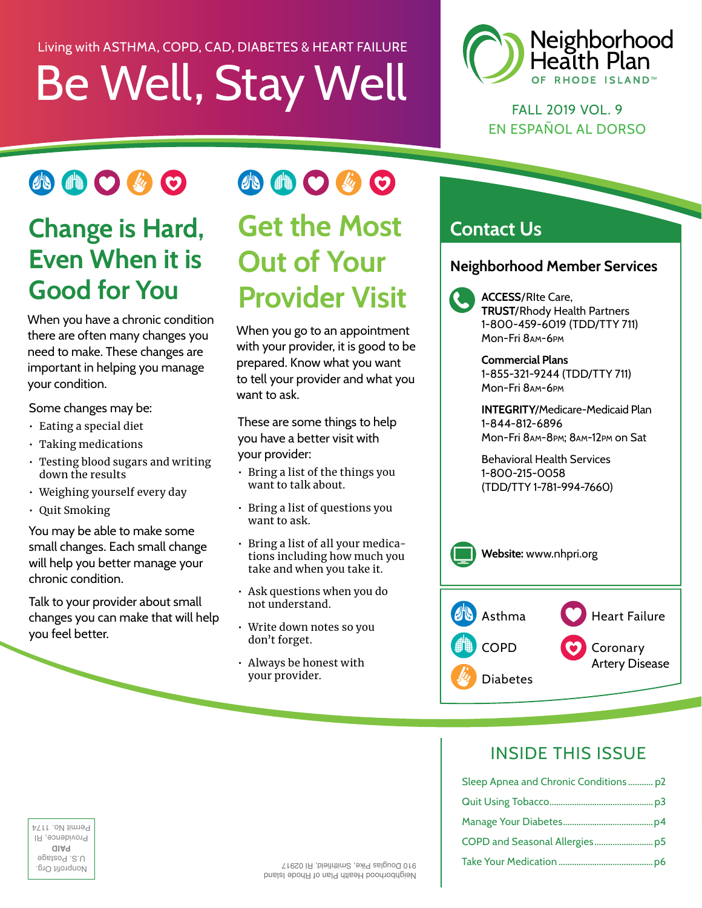# Be Well, Stay Well Living with ASTHMA, COPD, CAD, DIABETES & HEART FAILURE



FALL 2019 VOL. 9 EN ESPAÑOL AL DORSO

### 小曲〇必〇

### **Change is Hard, Even When it is Good for You**

When you have a chronic condition there are often many changes you need to make. These changes are important in helping you manage your condition.

Some changes may be:

- Eating a special diet
- Taking medications
- Testing blood sugars and writing down the results
- Weighing yourself every day
- Quit Smoking

You may be able to make some small changes. Each small change will help you better manage your chronic condition.

Talk to your provider about small changes you can make that will help  $\cdot$  Write down notes so you you feel better.

# 小曲〇少〇 **Get the Most Out of Your Provider Visit**

When you go to an appointment with your provider, it is good to be prepared. Know what you want to tell your provider and what you want to ask.

These are some things to help you have a better visit with your provider:

- Bring a list of the things you want to talk about.
- Bring a list of questions you want to ask.
- Bring a list of all your medications including how much you take and when you take it.
- Ask questions when you do not understand.
- 
- Always be honest with your provider.

### **Contact Us**

#### **Neighborhood Member Services**

**ACCESS**/RIte Care, **TRUST**/Rhody Health Partners 1-800-459-6019 (TDD/TTY 711) Mon-Fri 8AM-6PM

**Commercial Plans**  1-855-321-9244 (TDD/TTY 711) Mon-Fri 8AM-6PM

**INTEGRITY**/Medicare-Medicaid Plan 1-844-812-6896 Mon-Fri 8AM-8PM; 8AM-12PM on Sat

Behavioral Health Services 1-800-215-0058 (TDD/TTY 1-781-994-7660)



### INSIDE THIS ISSUE

| Sleep Apnea and Chronic Conditions  p2 |  |
|----------------------------------------|--|
|                                        |  |
|                                        |  |
|                                        |  |
|                                        |  |
|                                        |  |

PMD filongroup<br>opsized 2.∪<br>opsized<br>on and Postage U.S.  $Q \,$  **P** Providence, RI Permit No. 1174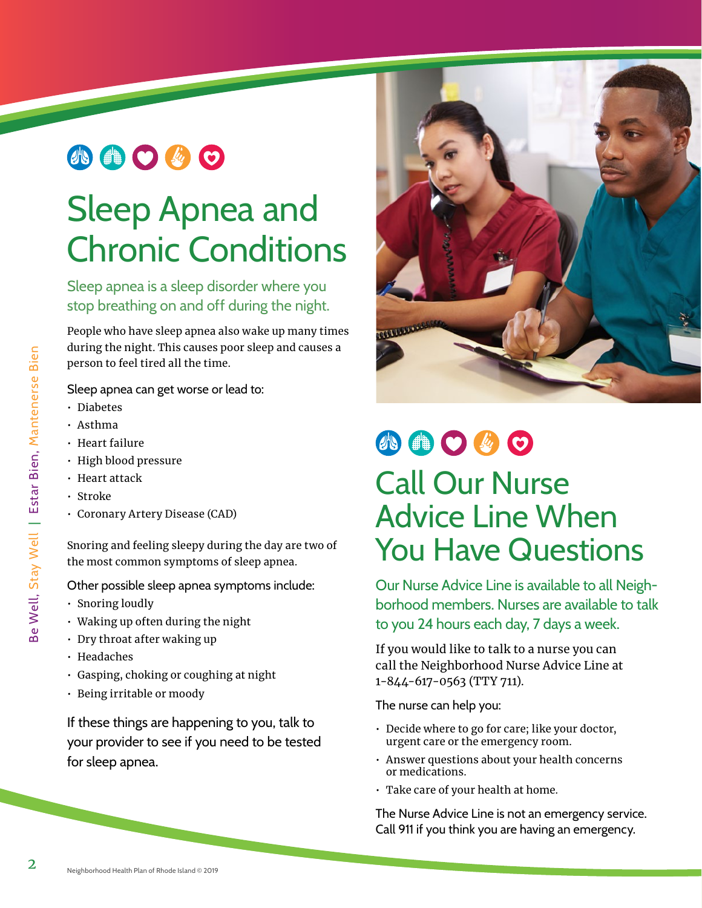### 小曲〇必〇

# Sleep Apnea and Chronic Conditions

Sleep apnea is a sleep disorder where you stop breathing on and off during the night.

People who have sleep apnea also wake up many times during the night. This causes poor sleep and causes a person to feel tired all the time.

Sleep apnea can get worse or lead to:

- Diabetes
- Asthma
- Heart failure
- High blood pressure
- Heart attack
- Stroke
- Coronary Artery Disease (CAD)

Snoring and feeling sleepy during the day are two of the most common symptoms of sleep apnea.

Other possible sleep apnea symptoms include:

- Snoring loudly
- Waking up often during the night
- Dry throat after waking up
- Headaches
- Gasping, choking or coughing at night
- Being irritable or moody

If these things are happening to you, talk to your provider to see if you need to be tested for sleep apnea.



# 小曲〇步〇 Call Our Nurse Advice Line When You Have Questions

Our Nurse Advice Line is available to all Neighborhood members. Nurses are available to talk to you 24 hours each day, 7 days a week.

If you would like to talk to a nurse you can call the Neighborhood Nurse Advice Line at 1-844-617-0563 (TTY 711).

The nurse can help you:

- Decide where to go for care; like your doctor, urgent care or the emergency room.
- Answer questions about your health concerns or medications.
- Take care of your health at home.

The Nurse Advice Line is not an emergency service. Call 911 if you think you are having an emergency.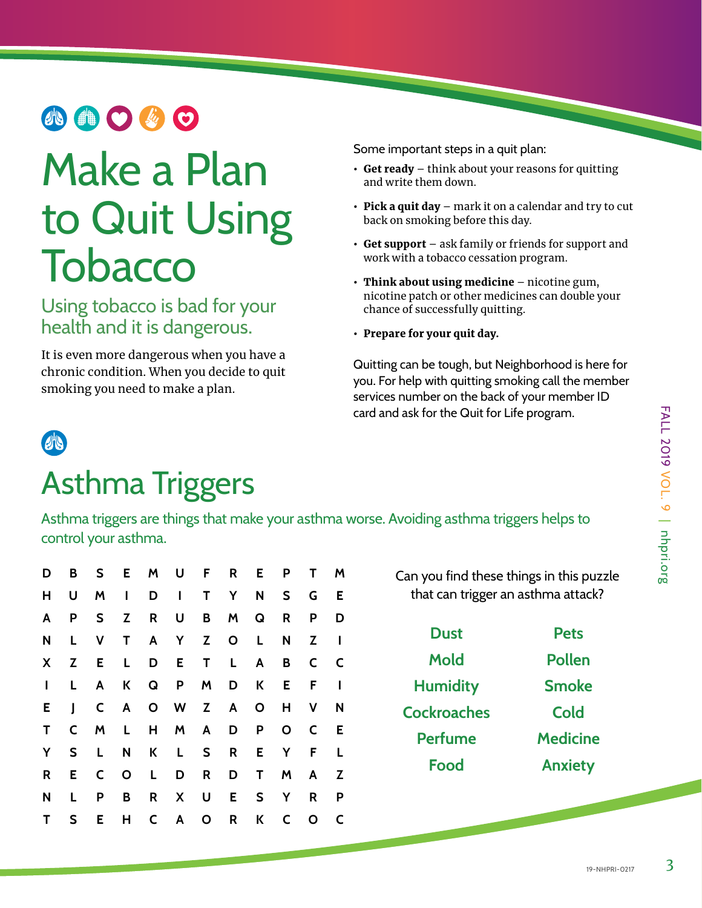# **AOOOO**

# Make a Plan to Quit Using **Tobacco**

Using tobacco is bad for your health and it is dangerous.

It is even more dangerous when you have a chronic condition. When you decide to quit smoking you need to make a plan.

Some important steps in a quit plan:

- Get ready  $-$  think about your reasons for quitting and write them down.
- Pick a quit day mark it on a calendar and try to cut back on smoking before this day.
- Get support ask family or friends for support and work with a tobacco cessation program.
- Think about using medicine nicotine gum, nicotine patch or other medicines can double your chance of successfully quitting.
- Prepare for your quit day.

Quitting can be tough, but Neighborhood is here for you. For help with quitting smoking call the member services number on the back of your member ID card and ask for the Quit for Life program.



## Asthma Triggers

Asthma triggers are things that make your asthma worse. Avoiding asthma triggers helps to control your asthma.

| D            |    |  | B S E M U F R E P   |              |              |              | T M          |                         |
|--------------|----|--|---------------------|--------------|--------------|--------------|--------------|-------------------------|
| н            | U  |  | M I D I T Y N S     |              |              |              | G            | Е                       |
| A            | P  |  | S Z R U B M Q R     |              |              |              | P            | D                       |
| N            |    |  | L V T A Y Z O L     |              |              | N I          | Z.           |                         |
| X            |    |  | Z E L D E T L A     |              |              | B            | C            | $\overline{\mathsf{C}}$ |
| $\mathbf{L}$ | L, |  | A K Q P M D K E F   |              |              |              |              |                         |
| E.           |    |  | J C A O W Z A O     |              |              | H V          |              | N                       |
| T            |    |  | C M L H M A D P     |              |              | $\mathsf{O}$ | $\mathsf{C}$ | E.                      |
| Y            |    |  | S L N K L S         | $\mathsf{R}$ |              | E Y          | $-F$         | <b>L</b>                |
| R            |    |  | E C O L D           | R D          | $\mathsf{T}$ | M A          |              | Z                       |
| N            | L. |  | P B R X U E S Y     |              |              |              | R            | P                       |
| T            |    |  | S E H C A O R K C O |              |              |              |              | C                       |

Can you find these things in this puzzle that can trigger an asthma attack?

**Dust Mold Humidity Cockroaches Perfume Food Pets Pollen Smoke Cold Medicine Anxiety**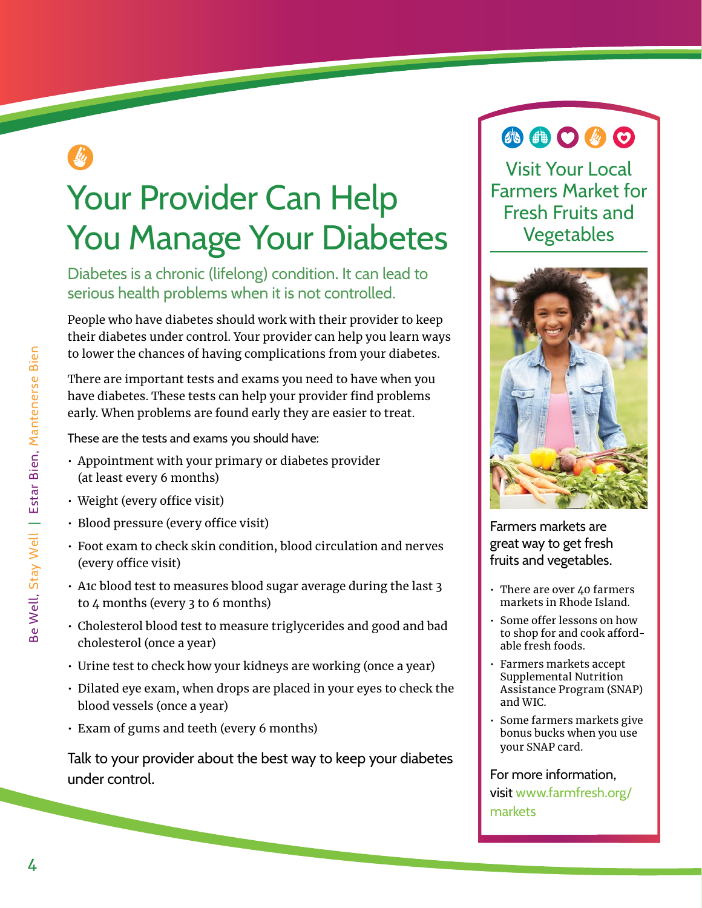# Your Provider Can Help You Manage Your Diabetes

Diabetes is a chronic (lifelong) condition. It can lead to serious health problems when it is not controlled.

People who have diabetes should work with their provider to keep their diabetes under control. Your provider can help you learn ways to lower the chances of having complications from your diabetes.

There are important tests and exams you need to have when you have diabetes. These tests can help your provider find problems early. When problems are found early they are easier to treat.

These are the tests and exams you should have:

- Appointment with your primary or diabetes provider (at least every 6 months)
- Weight (every office visit)
- Blood pressure (every office visit)
- Foot exam to check skin condition, blood circulation and nerves (every office visit)
- A1c blood test to measures blood sugar average during the last 3 to 4 months (every 3 to 6 months)
- Cholesterol blood test to measure triglycerides and good and bad cholesterol (once a year)
- Urine test to check how your kidneys are working (once a year)
- Dilated eye exam, when drops are placed in your eyes to check the blood vessels (once a year)
- Exam of gums and teeth (every 6 months)

Talk to your provider about the best way to keep your diabetes under control.

### 40000

Visit Your Local Farmers Market for Fresh Fruits and Vegetables



Farmers markets are great way to get fresh fruits and vegetables.

- There are over 40 farmers markets in Rhode Island.
- Some offer lessons on how to shop for and cook affordable fresh foods.
- Farmers markets accept Supplemental Nutrition Assistance Program (SNAP) and WIC.
- Some farmers markets give bonus bucks when you use your SNAP card.

#### For more information, visit [www.farmfresh.org/](http://www.farmfresh.org/markets)  [markets](http://www.farmfresh.org/markets)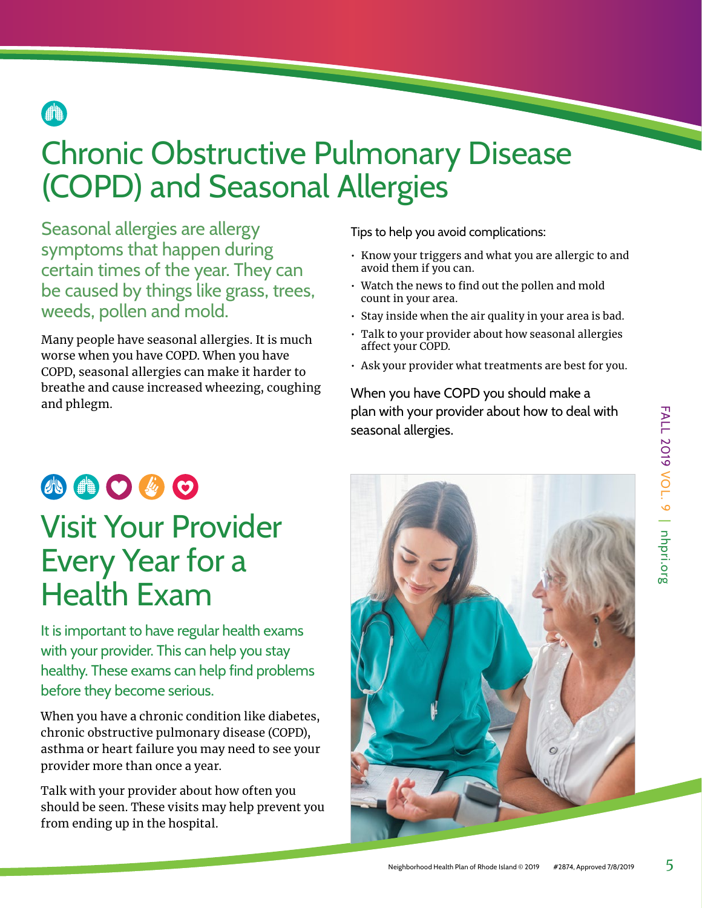

# Chronic Obstructive Pulmonary Disease (COPD) and Seasonal Allergies **a**<br>Chro

Seasonal allergies are allergy symptoms that happen during certain times of the year. They can be caused by things like grass, trees, weeds, pollen and mold.

Many people have seasonal allergies. It is much worse when you have COPD. When you have COPD, seasonal allergies can make it harder to breathe and cause increased wheezing, coughing and phlegm.

Tips to help you avoid complications:

- Know your triggers and what you are allergic to and avoid them if you can.
- $\cdot$  Watch the news to find out the pollen and mold count in your area.
- Stay inside when the air quality in your area is bad.
- Talk to your provider about how seasonal allergies afect your COPD.
- Ask your provider what treatments are best for you.

When you have COPD you should make a plan with your provider about how to deal with seasonal allergies.

### 小曲〇必〇 Visit Your Provider Every Year for a Health Exam

It is important to have regular health exams with your provider. This can help you stay healthy. These exams can help find problems before they become serious.

When you have a chronic condition like diabetes, chronic obstructive pulmonary disease (COPD), asthma or heart failure you may need to see your provider more than once a year.

Talk with your provider about how often you should be seen. These visits may help prevent you from ending up in the hospital.